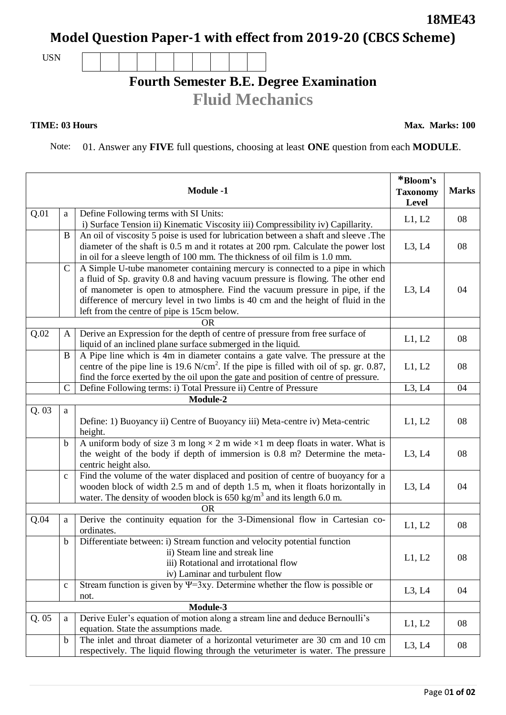## **Model Question Paper-1 with effect from 2019-20 (CBCS Scheme)**

USN

## **Fourth Semester B.E. Degree Examination Fluid Mechanics**

## **TIME: 03 Hours**

Note: 01. Answer any **FIVE** full questions, choosing at least **ONE** question from each **MODULE**.

| <b>Module -1</b> |               |                                                                                                                                                                                                                                                                                                                                                                                    | *Bloom's<br><b>Taxonomy</b><br>Level | <b>Marks</b> |  |
|------------------|---------------|------------------------------------------------------------------------------------------------------------------------------------------------------------------------------------------------------------------------------------------------------------------------------------------------------------------------------------------------------------------------------------|--------------------------------------|--------------|--|
| Q.01             | $\rm{a}$      | Define Following terms with SI Units:<br>i) Surface Tension ii) Kinematic Viscosity iii) Compressibility iv) Capillarity.                                                                                                                                                                                                                                                          | L1, L2                               | 08           |  |
|                  | B             | An oil of viscosity 5 poise is used for lubrication between a shaft and sleeve .The<br>diameter of the shaft is 0.5 m and it rotates at 200 rpm. Calculate the power lost<br>in oil for a sleeve length of 100 mm. The thickness of oil film is 1.0 mm.                                                                                                                            | L3, L4                               | 08           |  |
|                  | $\mathcal{C}$ | A Simple U-tube manometer containing mercury is connected to a pipe in which<br>a fluid of Sp. gravity 0.8 and having vacuum pressure is flowing. The other end<br>of manometer is open to atmosphere. Find the vacuum pressure in pipe, if the<br>difference of mercury level in two limbs is 40 cm and the height of fluid in the<br>left from the centre of pipe is 15cm below. | L3, L4                               | 04           |  |
| Q.02             | A             | <b>OR</b><br>Derive an Expression for the depth of centre of pressure from free surface of<br>liquid of an inclined plane surface submerged in the liquid.                                                                                                                                                                                                                         | L1, L2                               | 08           |  |
|                  | B             | A Pipe line which is 4m in diameter contains a gate valve. The pressure at the<br>centre of the pipe line is 19.6 N/cm <sup>2</sup> . If the pipe is filled with oil of sp. gr. 0.87,<br>find the force exerted by the oil upon the gate and position of centre of pressure.                                                                                                       | L1, L2                               | 08           |  |
|                  | $\mathcal{C}$ | Define Following terms: i) Total Pressure ii) Centre of Pressure                                                                                                                                                                                                                                                                                                                   | L3, L4                               | 04           |  |
| Module-2         |               |                                                                                                                                                                                                                                                                                                                                                                                    |                                      |              |  |
| Q.03             | $\rm{a}$      | Define: 1) Buoyancy ii) Centre of Buoyancy iii) Meta-centre iv) Meta-centric<br>height.                                                                                                                                                                                                                                                                                            | L1, L2                               | 08           |  |
|                  | $\mathbf b$   | A uniform body of size 3 m long $\times$ 2 m wide $\times$ 1 m deep floats in water. What is<br>the weight of the body if depth of immersion is 0.8 m? Determine the meta-<br>centric height also.                                                                                                                                                                                 | L3, L4                               | 08           |  |
|                  | $\mathbf{C}$  | Find the volume of the water displaced and position of centre of buoyancy for a<br>wooden block of width 2.5 m and of depth 1.5 m, when it floats horizontally in<br>water. The density of wooden block is $650 \text{ kg/m}^3$ and its length 6.0 m.                                                                                                                              | L3, L4                               | 04           |  |
| <b>OR</b>        |               |                                                                                                                                                                                                                                                                                                                                                                                    |                                      |              |  |
| Q.04             | $\rm{a}$      | Derive the continuity equation for the 3-Dimensional flow in Cartesian co-<br>ordinates.                                                                                                                                                                                                                                                                                           | L1, L2                               | 08           |  |
|                  | $\mathbf b$   | Differentiate between: i) Stream function and velocity potential function<br>ii) Steam line and streak line<br>iii) Rotational and irrotational flow<br>iv) Laminar and turbulent flow                                                                                                                                                                                             | L1, L2                               | 08           |  |
|                  | $\mathbf c$   | Stream function is given by $\Psi$ =3xy. Determine whether the flow is possible or<br>not.                                                                                                                                                                                                                                                                                         | L3, L4                               | 04           |  |
| Module-3         |               |                                                                                                                                                                                                                                                                                                                                                                                    |                                      |              |  |
| Q.05             | a             | Derive Euler's equation of motion along a stream line and deduce Bernoulli's<br>equation. State the assumptions made.                                                                                                                                                                                                                                                              | L1, L2                               | 08           |  |
|                  | $\mathbf b$   | The inlet and throat diameter of a horizontal veturimeter are 30 cm and 10 cm<br>respectively. The liquid flowing through the veturimeter is water. The pressure                                                                                                                                                                                                                   | L3, L4                               | 08           |  |

**18ME43**

**Max. Marks: 100**